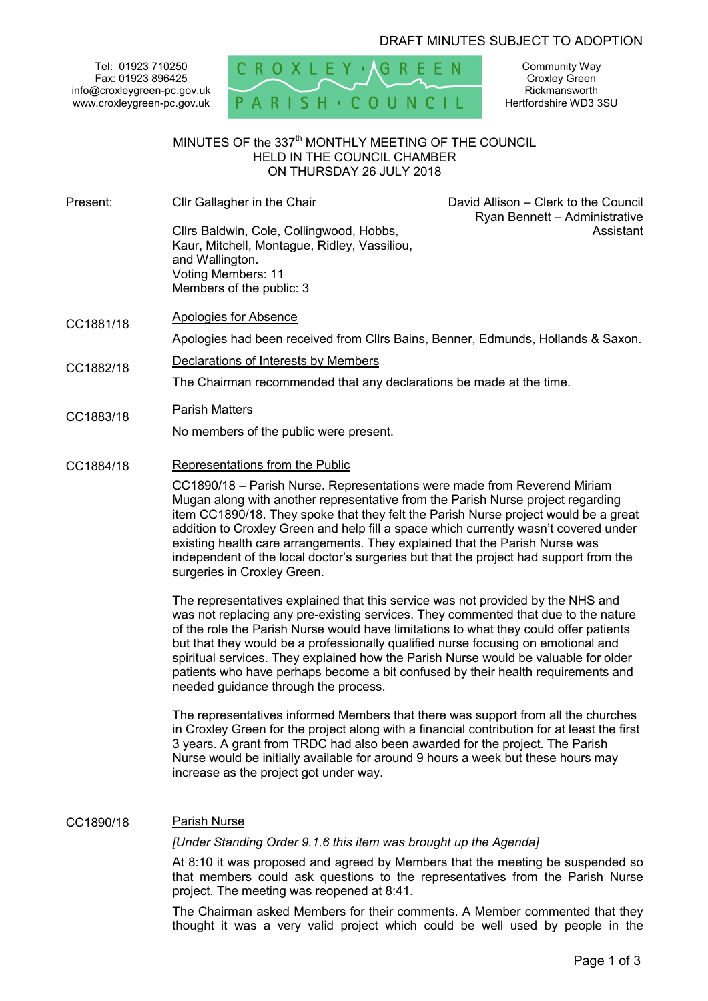# DRAFT MINUTES SUBJECT TO ADOPTION

Tel: 01923 710250 Fax: 01923 896425 info@croxleygreen-pc.gov.uk www.croxleygreen-pc.gov.uk



Community Way Croxley Green Rickmansworth Hertfordshire WD3 3SU

# MINUTES OF the 337<sup>th</sup> MONTHLY MEETING OF THE COUNCIL HELD IN THE COUNCIL CHAMBER ON THURSDAY 26 JULY 2018

Present: Cllr Gallagher in the Chair Cllrs Baldwin, Cole, Collingwood, Hobbs, Kaur, Mitchell, Montague, Ridley, Vassiliou, and Wallington. Voting Members: 11 Members of the public: 3

 David Allison – Clerk to the Council Ryan Bennett – Administrative Assistant

CC1881/18 Apologies for Absence

Apologies had been received from Cllrs Bains, Benner, Edmunds, Hollands & Saxon.

CC1882/18 Declarations of Interests by Members

The Chairman recommended that any declarations be made at the time.

CC1883/18 Parish Matters

No members of the public were present.

CC1884/18 Representations from the Public

CC1890/18 – Parish Nurse. Representations were made from Reverend Miriam Mugan along with another representative from the Parish Nurse project regarding item CC1890/18. They spoke that they felt the Parish Nurse project would be a great addition to Croxley Green and help fill a space which currently wasn't covered under existing health care arrangements. They explained that the Parish Nurse was independent of the local doctor's surgeries but that the project had support from the surgeries in Croxley Green.

The representatives explained that this service was not provided by the NHS and was not replacing any pre-existing services. They commented that due to the nature of the role the Parish Nurse would have limitations to what they could offer patients but that they would be a professionally qualified nurse focusing on emotional and spiritual services. They explained how the Parish Nurse would be valuable for older patients who have perhaps become a bit confused by their health requirements and needed guidance through the process.

The representatives informed Members that there was support from all the churches in Croxley Green for the project along with a financial contribution for at least the first 3 years. A grant from TRDC had also been awarded for the project. The Parish Nurse would be initially available for around 9 hours a week but these hours may increase as the project got under way.

# CC1890/18 Parish Nurse

*[Under Standing Order 9.1.6 this item was brought up the Agenda]* 

At 8:10 it was proposed and agreed by Members that the meeting be suspended so that members could ask questions to the representatives from the Parish Nurse project. The meeting was reopened at 8:41.

The Chairman asked Members for their comments. A Member commented that they thought it was a very valid project which could be well used by people in the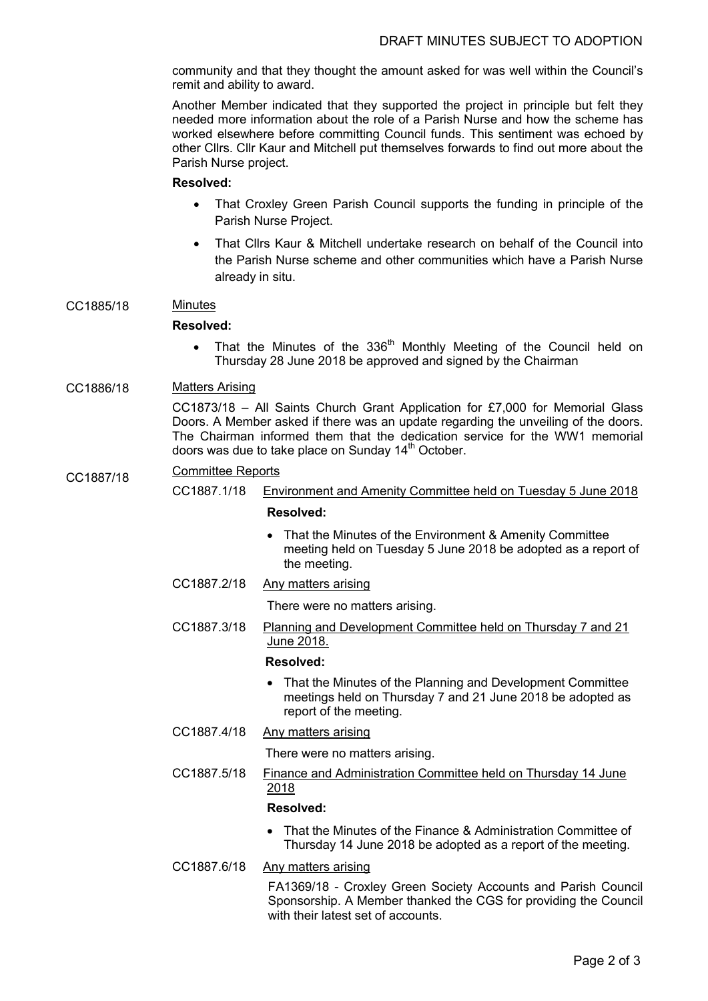community and that they thought the amount asked for was well within the Council's remit and ability to award.

Another Member indicated that they supported the project in principle but felt they needed more information about the role of a Parish Nurse and how the scheme has worked elsewhere before committing Council funds. This sentiment was echoed by other Cllrs. Cllr Kaur and Mitchell put themselves forwards to find out more about the Parish Nurse project.

### **Resolved:**

- That Croxley Green Parish Council supports the funding in principle of the Parish Nurse Project.
- That Cllrs Kaur & Mitchell undertake research on behalf of the Council into the Parish Nurse scheme and other communities which have a Parish Nurse already in situ.

## CC1885/18 Minutes

## **Resolved:**

 $\bullet$  That the Minutes of the 336<sup>th</sup> Monthly Meeting of the Council held on Thursday 28 June 2018 be approved and signed by the Chairman

# CC1886/18 Matters Arising

CC1873/18 – All Saints Church Grant Application for £7,000 for Memorial Glass Doors. A Member asked if there was an update regarding the unveiling of the doors. The Chairman informed them that the dedication service for the WW1 memorial doors was due to take place on Sunday 14<sup>th</sup> October.

# CC1887/18 Committee Reports<br>CC1887.1/18 Env

Environment and Amenity Committee held on Tuesday 5 June 2018

## **Resolved:**

- That the Minutes of the Environment & Amenity Committee meeting held on Tuesday 5 June 2018 be adopted as a report of the meeting.
- CC1887.2/18 Any matters arising

There were no matters arising.

CC1887.3/18 Planning and Development Committee held on Thursday 7 and 21 June 2018.

#### **Resolved:**

- That the Minutes of the Planning and Development Committee meetings held on Thursday 7 and 21 June 2018 be adopted as report of the meeting.
- CC1887.4/18 Any matters arising

There were no matters arising.

CC1887.5/18 Finance and Administration Committee held on Thursday 14 June 2018

#### **Resolved:**

 That the Minutes of the Finance & Administration Committee of Thursday 14 June 2018 be adopted as a report of the meeting.

CC1887.6/18 Any matters arising

FA1369/18 - Croxley Green Society Accounts and Parish Council Sponsorship. A Member thanked the CGS for providing the Council with their latest set of accounts.